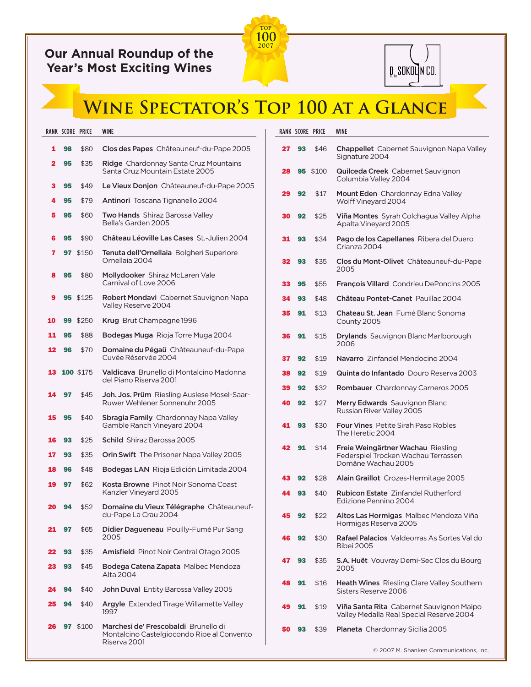## **Our Annual Roundup of the Year's Most Exciting Wines**





## **Wine Spectator's Top 100 at a Glance**

|    |    | RANK SCORE PRICE | <b>WINE</b>                                                                                        |          |          | RANK SCORE PRICE | WINE              |
|----|----|------------------|----------------------------------------------------------------------------------------------------|----------|----------|------------------|-------------------|
| 1  | 98 | \$80             | Clos des Papes Châteauneuf-du-Pape 2005                                                            | 27       | 93       | \$46             | Ch<br>Sig         |
| 2  | 95 | \$35             | <b>Ridge</b> Chardonnay Santa Cruz Mountains<br>Santa Cruz Mountain Estate 2005                    | 28       |          | <b>95</b> \$100  | Qu                |
| з  | 95 | \$49             | Le Vieux Donjon Châteauneuf-du-Pape 2005                                                           |          |          |                  | Col               |
| 4  | 95 | \$79             | Antinori Toscana Tignanello 2004                                                                   | 29       | 92       | \$17             | Mo<br>Wc          |
| 5  | 95 | \$60             | <b>Two Hands</b> Shiraz Barossa Valley<br>Bella's Garden 2005                                      | 30       | 92       | \$25             | Viñ<br>Ap.        |
| 6  | 95 | \$90             | Château Léoville Las Cases St.-Julien 2004                                                         | 31       | 93       | \$34             | Pag               |
| 7  |    | 97 \$150         | Tenuta dell'Ornellaia Bolgheri Superiore<br>Ornellaia 2004                                         | 32       | 93       | \$35             | Cria<br>Clo       |
| 8  | 95 | \$80             | Mollydooker Shiraz McLaren Vale<br>Carnival of Love 2006                                           | 33       | 95       | \$55             | 20(<br>Fra        |
| 9  |    | <b>95</b> \$125  | <b>Robert Mondavi</b> Cabernet Sauvignon Napa<br>Valley Reserve 2004                               | 34       | 93       | \$48             | Ch                |
| 10 |    | 99 \$250         | Krug Brut Champagne 1996                                                                           | 35       | 91       | \$13             | Chi<br>Coı        |
| 11 | 95 | \$88             | <b>Bodegas Muga</b> Rioja Torre Muga 2004                                                          | 36       | 91       | \$15             | Dry               |
| 12 | 96 | \$70             | Domaine du Pégaü Châteauneuf-du-Pape<br>Cuvée Réservée 2004                                        | 37       | 92       | \$19             | 20<br>Na          |
| 13 |    | 100 \$175        | Valdicava Brunello di Montalcino Madonna                                                           | 38       | 92       | \$19             | Qu                |
|    |    |                  | del Piano Riserva 2001                                                                             | 39       | 92       | \$32             | Ro                |
| 14 | 97 | \$45             | Joh. Jos. Prüm Riesling Auslese Mosel-Saar-<br>Ruwer Wehlener Sonnenuhr 2005                       | 40       | 92       | \$27             | Me<br>Rus         |
| 15 | 95 | \$40             | <b>Sbragia Family</b> Chardonnay Napa Valley<br>Gamble Ranch Vineyard 2004                         | 41       | 93       | \$30             | For<br>The        |
| 16 | 93 | \$25             | <b>Schild</b> Shiraz Barossa 2005                                                                  | 42       | 91       | \$14             | Fre               |
| 17 | 93 | \$35             | <b>Orin Swift</b> The Prisoner Napa Valley 2005                                                    |          |          |                  | Fec               |
| 18 | 96 | \$48             | <b>Bodegas LAN</b> Rioja Edición Limitada 2004                                                     |          |          |                  | Do                |
| 19 | 97 | \$62             | Kosta Browne Pinot Noir Sonoma Coast<br>Kanzler Vineyard 2005                                      | 43<br>44 | 92<br>93 | \$28<br>\$40     | Ala<br>Rul        |
| 20 | 94 | \$52             | Domaine du Vieux Télégraphe Châteauneuf-                                                           |          |          |                  | Edi               |
| 21 |    | \$65             | du-Pape La Crau 2004                                                                               | 45       | 92       | \$22             | Alt<br>Ho         |
|    | 97 |                  | Didier Dagueneau Pouilly-Fumé Pur Sang<br>2005                                                     | 46       | 92       | \$30             | Rat<br><b>Bib</b> |
| 22 | 93 | \$35             | Amisfield Pinot Noir Central Otago 2005                                                            | 47       | 93       | \$35             | S.A               |
| 23 | 93 | \$45             | <b>Bodega Catena Zapata</b> Malbec Mendoza<br>Alta 2004                                            |          |          |                  | 20                |
| 24 | 94 | \$40             | John Duval Entity Barossa Valley 2005                                                              | 48       | 91       | \$16             | Hea<br>Sist       |
| 25 | 94 | \$40             | Argyle Extended Tirage Willamette Valley<br>1997                                                   | 49       | 91       | \$19             | Viñ<br>Val        |
| 26 | 97 | \$100            | Marchesi de' Frescobaldi Brunello di<br>Montalcino Castelgiocondo Ripe al Convento<br>Riserva 2001 | 50       | 93       | \$39             | Pla               |

|    |    | RANK SCORE PRICE | <b>WINE</b>                                                                                    |
|----|----|------------------|------------------------------------------------------------------------------------------------|
| 27 | 93 | \$46             | <b>Chappellet</b> Cabernet Sauvignon Napa Valley<br>Signature 2004                             |
| 28 | 95 | \$100            | <b>Quilceda Creek</b> Cabernet Sauvignon<br>Columbia Valley 2004                               |
| 29 | 92 | \$17             | <b>Mount Eden</b> Chardonnay Edna Valley<br>Wolff Vineyard 2004                                |
| 30 | 92 | \$25             | Viña Montes Syrah Colchagua Valley Alpha<br>Apalta Vineyard 2005                               |
| 31 | 93 | \$34             | <b>Pago de los Capellanes</b> Ribera del Duero<br>Crianza 2004                                 |
| 32 | 93 | \$35             | Clos du Mont-Olivet Châteauneuf-du-Pape<br>2005                                                |
| 33 | 95 | \$55             | <b>François Villard</b> Condrieu DePoncins 2005                                                |
| 34 | 93 | \$48             | Château Pontet-Canet Pauillac 2004                                                             |
| 35 | 91 | \$13             | Chateau St. Jean Fumé Blanc Sonoma<br>County 2005                                              |
| 36 | 91 | \$15             | <b>Drylands</b> Sauvignon Blanc Marlborough<br>2006                                            |
| 37 | 92 | \$19             | Navarro Zinfandel Mendocino 2004                                                               |
| 38 | 92 | \$19             | <b>Quinta do Infantado</b> Douro Reserva 2003                                                  |
| 39 | 92 | \$32             | <b>Rombauer</b> Chardonnay Carneros 2005                                                       |
| 40 | 92 | \$27             | <b>Merry Edwards</b> Sauvignon Blanc<br>Russian River Valley 2005                              |
| 41 | 93 | \$30             | Four Vines Petite Sirah Paso Robles<br>The Heretic 2004                                        |
| 42 | 91 | \$14             | Freie Weingärtner Wachau Riesling<br>Federspiel Trocken Wachau Terrassen<br>Domäne Wachau 2005 |
| 43 | 92 | \$28             | <b>Alain Graillot</b> Crozes-Hermitage 2005                                                    |
| 44 | 93 | \$40             | <b>Rubicon Estate</b> Zinfandel Rutherford<br>Edizione Pennino 2004                            |
| 45 | 92 | \$22             | Altos Las Hormigas Malbec Mendoza Viña<br>Hormigas Reserva 2005                                |
| 46 | 92 | \$30             | Rafael Palacios Valdeorras As Sortes Val do<br><b>Bibei 2005</b>                               |
| 47 | 93 | \$35             | <b>S.A. Huët</b> Vouvray Demi-Sec Clos du Bourg<br>2005                                        |
| 48 | 91 | \$16             | <b>Heath Wines</b> Riesling Clare Valley Southern<br>Sisters Reserve 2006                      |
| 49 | 91 | \$19             | Viña Santa Rita Cabernet Sauvignon Maipo<br>Valley Medalla Real Special Reserve 2004           |
| 50 | 93 | \$39             | <b>Planeta</b> Chardonnay Sicilia 2005                                                         |

© 2007 M. Shanken Communications, Inc.